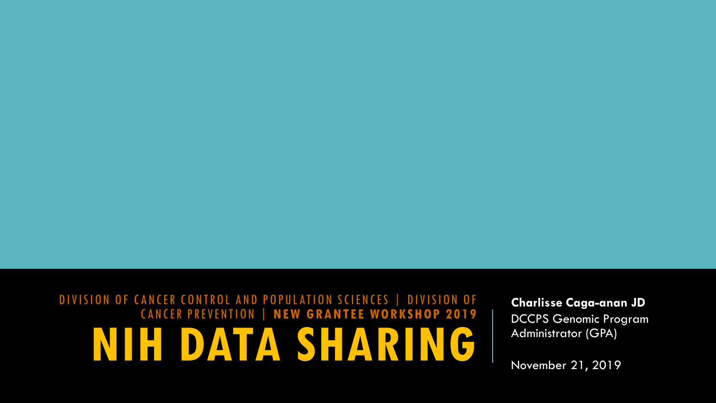### DIVISION OF CANCER CONTROL AND POPULATION SCIENCES | DIVISION OF CANCER PREVENTION | **NEW GRANTEE WORKSHOP 2019 NIH DATA SHARING**

**Charlisse Caga-anan JD** DCCPS Genomic Program Administrator (GPA)

November 21, 2019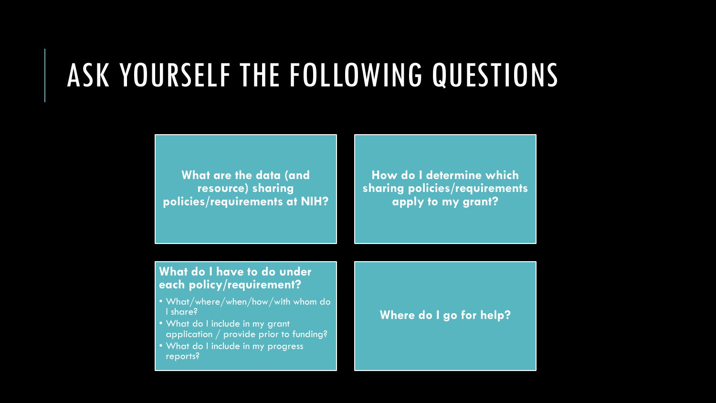### ASK YOURSELF THE FOLLOWING QUESTIONS

**What are the data (and resource) sharing policies/requirements at NIH?**

**How do I determine which sharing policies/requirements apply to my grant?**

#### **What do I have to do under each policy/requirement?**

- What/where/when/how/with whom do I share?
- What do I include in my grant application / provide prior to funding?
- What do I include in my progress reports?

#### **Where do I go for help?**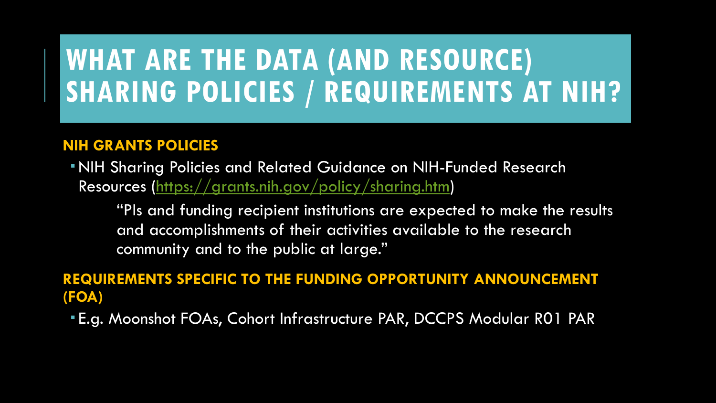### **WHAT ARE THE DATA (AND RESOURCE) SHARING POLICIES / REQUIREMENTS AT NIH?**

### **NIH GRANTS POLICIES**

NIH Sharing Policies and Related Guidance on NIH-Funded Research Resources [\(https://grants.nih.gov/policy/sharing.htm\)](https://grants.nih.gov/policy/sharing.htm)

"PIs and funding recipient institutions are expected to make the results and accomplishments of their activities available to the research community and to the public at large."

### **REQUIREMENTS SPECIFIC TO THE FUNDING OPPORTUNITY ANNOUNCEMENT (FOA)**

E.g. Moonshot FOAs, Cohort Infrastructure PAR, DCCPS Modular R01 PAR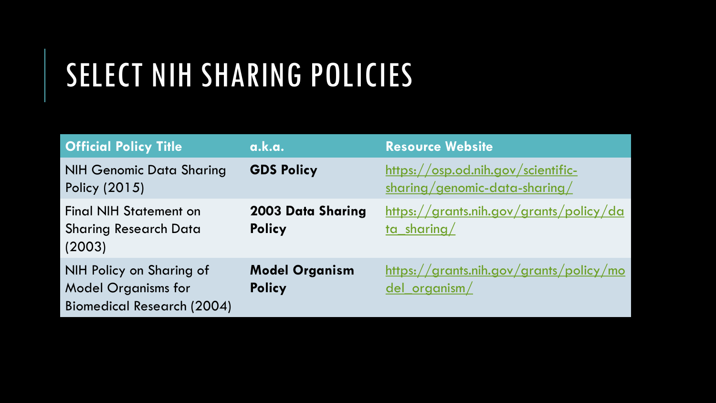# SELECT NIH SHARING POLICIES

| <b>Official Policy Title</b>                                                                | a.k.a.                                    | <b>Resource Website</b>                                             |
|---------------------------------------------------------------------------------------------|-------------------------------------------|---------------------------------------------------------------------|
| <b>NIH Genomic Data Sharing</b><br>Policy (2015)                                            | <b>GDS Policy</b>                         | https://osp.od.nih.gov/scientific-<br>sharing/genomic-data-sharing/ |
| <b>Final NIH Statement on</b><br><b>Sharing Research Data</b><br>(2003)                     | <b>2003 Data Sharing</b><br><b>Policy</b> | https://grants.nih.gov/grants/policy/da<br>ta sharing/              |
| NIH Policy on Sharing of<br><b>Model Organisms for</b><br><b>Biomedical Research (2004)</b> | <b>Model Organism</b><br><b>Policy</b>    | https://grants.nih.gov/grants/policy/mo<br>del organism/            |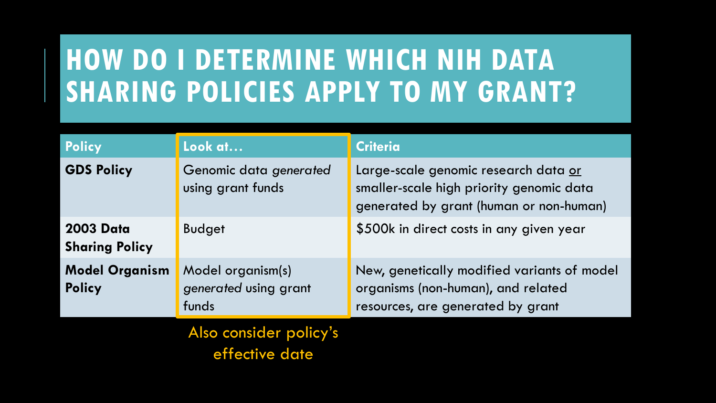### **HOW DO I DETERMINE WHICH NIH DATA SHARING POLICIES APPLY TO MY GRANT?**

| <b>Policy</b>                             | Look at                                             | <b>Criteria</b>                                                                                                             |
|-------------------------------------------|-----------------------------------------------------|-----------------------------------------------------------------------------------------------------------------------------|
| <b>GDS Policy</b>                         | Genomic data generated<br>using grant funds         | Large-scale genomic research data or<br>smaller-scale high priority genomic data<br>generated by grant (human or non-human) |
| <b>2003 Data</b><br><b>Sharing Policy</b> | <b>Budget</b>                                       | \$500k in direct costs in any given year                                                                                    |
| <b>Model Organism</b><br><b>Policy</b>    | Model organism(s)<br>generated using grant<br>funds | New, genetically modified variants of model<br>organisms (non-human), and related<br>resources, are generated by grant      |

Also consider policy's effective date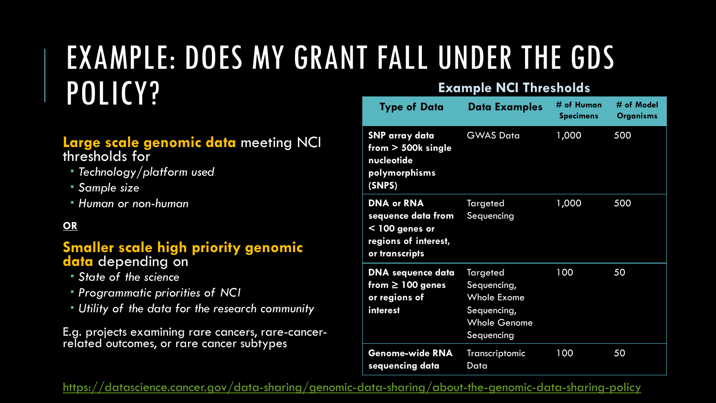### EXAMPLE: DOES MY GRANT FALL UNDER THE GDS POLICY? **Example NCI Thresholds**

### **Large scale genomic data** meeting NCI thresholds for

- *Technology/platform used*
- *Sample size*
- *Human or non-human*

### **OR**

#### **Smaller scale high priority genomic data** depending on

- *State of the science*
- *Programmatic priorities of NCI*
- *Utility of the data for the research community*

E.g. projects examining rare cancers, rare-cancer- related outcomes, or rare cancer subtypes

| <b>Type of Data</b>                                                                                   | <b>Data Examples</b>                                                                              | # of Human<br><b>Specimens</b> | # of Model<br><b>Organisms</b> |
|-------------------------------------------------------------------------------------------------------|---------------------------------------------------------------------------------------------------|--------------------------------|--------------------------------|
| <b>SNP array data</b><br>$from > 500k$ single<br>nucleotide<br>polymorphisms<br>(SNPS)                | <b>GWAS Data</b>                                                                                  | 1,000                          | 500                            |
| <b>DNA or RNA</b><br>sequence data from<br>$<$ 100 genes or<br>regions of interest,<br>or transcripts | <b>Targeted</b><br>Sequencing                                                                     | 1,000                          | 500                            |
| <b>DNA</b> sequence data<br>from $\geq 100$ genes<br>or regions of<br>interest                        | Targeted<br>Sequencing,<br><b>Whole Exome</b><br>Sequencing,<br><b>Whole Genome</b><br>Sequencing | 100                            | 50                             |
| Genome-wide RNA<br>sequencing data                                                                    | Transcriptomic<br>Data                                                                            | 100                            | 50                             |

<https://datascience.cancer.gov/data-sharing/genomic-data-sharing/about-the-genomic-data-sharing-policy>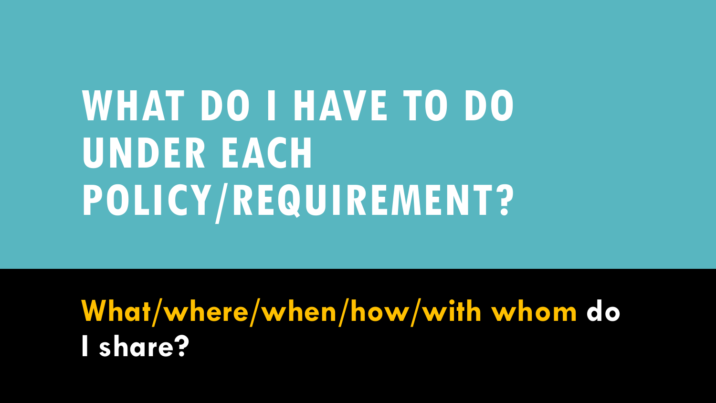# **WHAT DO I HAVE TO DO UNDER EACH POLICY/REQUIREMENT?**

**What/where/when/how/with whom do I share?**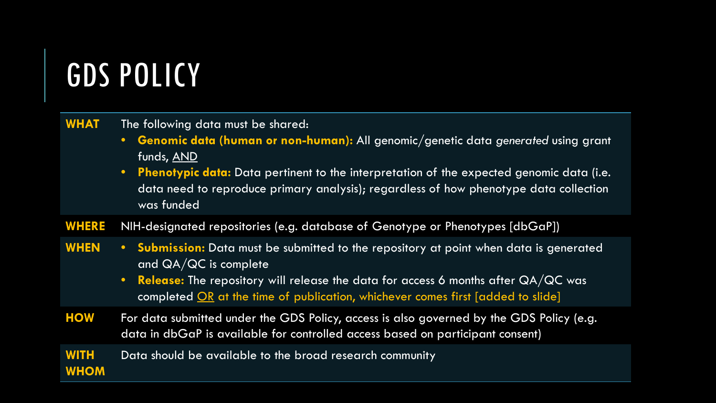## GDS POLICY

| <b>WHAT</b>                | The following data must be shared:<br>Genomic data (human or non-human): All genomic/genetic data generated using grant<br>$\bullet$<br>funds, AND<br><b>Phenotypic data:</b> Data pertinent to the interpretation of the expected genomic data (i.e.<br>$\bullet$ .<br>data need to reproduce primary analysis); regardless of how phenotype data collection<br>was funded |
|----------------------------|-----------------------------------------------------------------------------------------------------------------------------------------------------------------------------------------------------------------------------------------------------------------------------------------------------------------------------------------------------------------------------|
| <b>WHERE</b>               | NIH-designated repositories (e.g. database of Genotype or Phenotypes [dbGaP])                                                                                                                                                                                                                                                                                               |
| <b>WHEN</b>                | • Submission: Data must be submitted to the repository at point when data is generated<br>and $QA/QC$ is complete<br><b>Release:</b> The repository will release the data for access 6 months after $QA/QC$ was<br>$\bullet$ .<br>completed OR at the time of publication, whichever comes first [added to slide]                                                           |
| <b>HOW</b>                 | For data submitted under the GDS Policy, access is also governed by the GDS Policy (e.g.<br>data in dbGaP is available for controlled access based on participant consent)                                                                                                                                                                                                  |
| <b>WITH</b><br><b>WHOM</b> | Data should be available to the broad research community                                                                                                                                                                                                                                                                                                                    |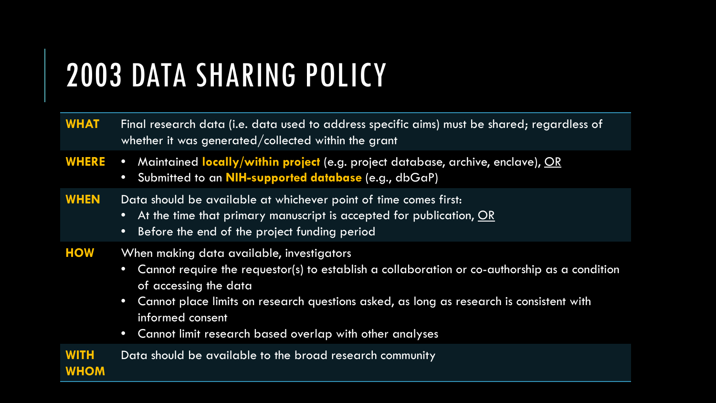## 2003 DATA SHARING POLICY

- WHAT Final research data (i.e. data used to address specific aims) must be shared; regardless of whether it was generated/collected within the grant
- **WHERE** Maintained **locally/within project** (e.g. project database, archive, enclave), OR
	- Submitted to an **NIH-supported database** (e.g., dbGaP)
- WHEN Data should be available at whichever point of time comes first:
	- At the time that primary manuscript is accepted for publication, OR
	- Before the end of the project funding period
- **HOW** When making data available, investigators
	- Cannot require the requestor(s) to establish a collaboration or co-authorship as a condition of accessing the data
	- Cannot place limits on research questions asked, as long as research is consistent with informed consent
	- Cannot limit research based overlap with other analyses
- **WITH WHOM** Data should be available to the broad research community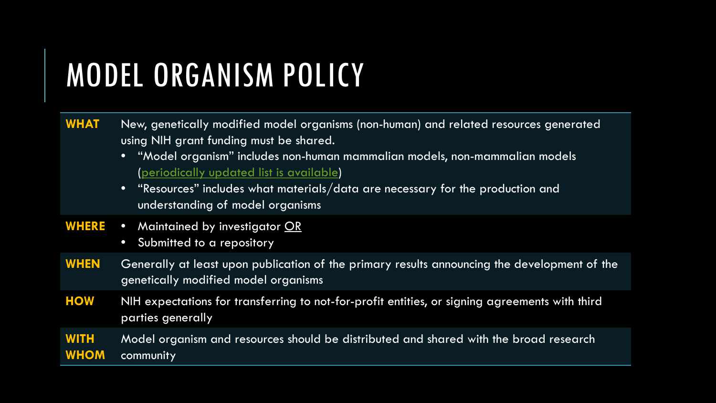## MODEL ORGANISM POLICY

| <b>WHAT</b>                | New, genetically modified model organisms (non-human) and related resources generated<br>using NIH grant funding must be shared.<br>"Model organism" includes non-human mammalian models, non-mammalian models<br>(periodically updated list is available)<br>"Resources" includes what materials/data are necessary for the production and<br>$\bullet$<br>understanding of model organisms |
|----------------------------|----------------------------------------------------------------------------------------------------------------------------------------------------------------------------------------------------------------------------------------------------------------------------------------------------------------------------------------------------------------------------------------------|
| <b>WHERE</b>               | Maintained by investigator OR<br>$\bullet$<br>Submitted to a repository<br>$\bullet$                                                                                                                                                                                                                                                                                                         |
| <b>WHEN</b>                | Generally at least upon publication of the primary results announcing the development of the<br>genetically modified model organisms                                                                                                                                                                                                                                                         |
| <b>HOW</b>                 | NIH expectations for transferring to not-for-profit entities, or signing agreements with third<br>parties generally                                                                                                                                                                                                                                                                          |
| <b>WITH</b><br><b>WHOM</b> | Model organism and resources should be distributed and shared with the broad research<br>community                                                                                                                                                                                                                                                                                           |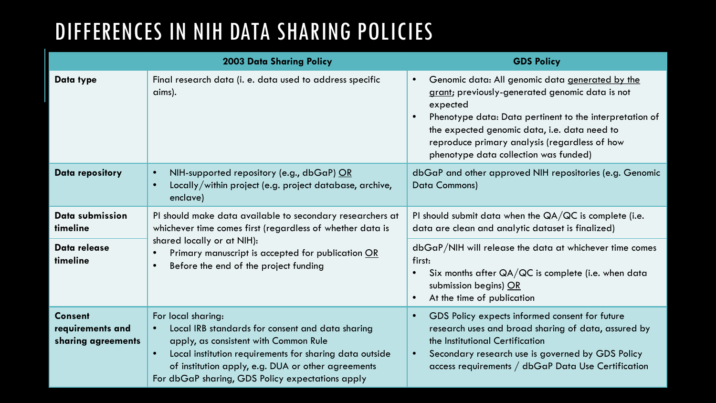### DIFFERENCES IN NIH DATA SHARING POLICIES

|                                                          | <b>2003 Data Sharing Policy</b>                                                                                                                                                                                                                                                                   | <b>GDS Policy</b>                                                                                                                                                                                                                                                                                                                             |
|----------------------------------------------------------|---------------------------------------------------------------------------------------------------------------------------------------------------------------------------------------------------------------------------------------------------------------------------------------------------|-----------------------------------------------------------------------------------------------------------------------------------------------------------------------------------------------------------------------------------------------------------------------------------------------------------------------------------------------|
| Data type                                                | Final research data (i. e. data used to address specific<br>aims).                                                                                                                                                                                                                                | Genomic data: All genomic data generated by the<br>$\bullet$<br>grant; previously-generated genomic data is not<br>expected<br>Phenotype data: Data pertinent to the interpretation of<br>$\bullet$<br>the expected genomic data, i.e. data need to<br>reproduce primary analysis (regardless of how<br>phenotype data collection was funded) |
| Data repository                                          | NIH-supported repository (e.g., dbGaP) OR<br>$\bullet$<br>Locally/within project (e.g. project database, archive,<br>$\bullet$<br>enclave)                                                                                                                                                        | dbGaP and other approved NIH repositories (e.g. Genomic<br><b>Data Commons)</b>                                                                                                                                                                                                                                                               |
| Data submission<br>timeline                              | PI should make data available to secondary researchers at<br>whichever time comes first (regardless of whether data is<br>shared locally or at NIH):<br>Primary manuscript is accepted for publication OR<br>Before the end of the project funding<br>$\bullet$                                   | PI should submit data when the $QA/QC$ is complete (i.e.<br>data are clean and analytic dataset is finalized)                                                                                                                                                                                                                                 |
| Data release<br>timeline                                 |                                                                                                                                                                                                                                                                                                   | $dbGaP/NIH$ will release the data at whichever time comes<br>first:<br>Six months after $QA/QC$ is complete (i.e. when data<br>$\bullet$<br>submission begins) OR<br>At the time of publication<br>$\bullet$                                                                                                                                  |
| <b>Consent</b><br>requirements and<br>sharing agreements | For local sharing:<br>Local IRB standards for consent and data sharing<br>apply, as consistent with Common Rule<br>Local institution requirements for sharing data outside<br>$\bullet$<br>of institution apply, e.g. DUA or other agreements<br>For dbGaP sharing, GDS Policy expectations apply | GDS Policy expects informed consent for future<br>$\bullet$<br>research uses and broad sharing of data, assured by<br>the Institutional Certification<br>Secondary research use is governed by GDS Policy<br>$\bullet$<br>access requirements $/$ dbGaP Data Use Certification                                                                |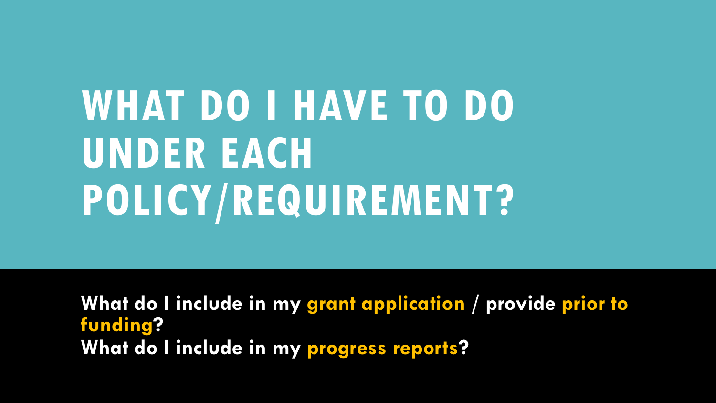# **WHAT DO I HAVE TO DO UNDER EACH POLICY/REQUIREMENT?**

**What do I include in my grant application / provide prior to funding? What do I include in my progress reports?**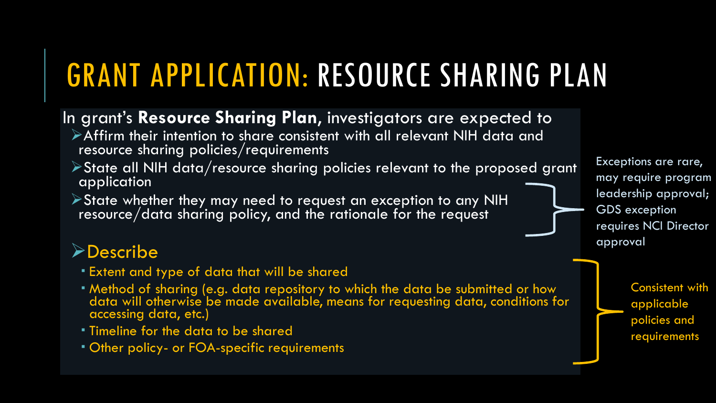# GRANT APPLICATION: RESOURCE SHARING PLAN

- In grant's **Resource Sharing Plan**, investigators are expected to
	- Affirm their intention to share consistent with all relevant NIH data and resource sharing policies/requirements
	- State all NIH data/resource sharing policies relevant to the proposed grant application
	- State whether they may need to request an exception to any NIH resource/data sharing policy, and the rationale for the request

### **>Describe**

- Extent and type of data that will be shared
- Method of sharing (e.g. data repository to which the data be submitted or how data will otherwise be made available, means for requesting data, conditions for accessing data, etc.)
- Timeline for the data to be shared
- **Other policy- or FOA-specific requirements**

Exceptions are rare, may require program leadership approval; GDS exception requires NCI Director approval

> Consistent with applicable policies and requirements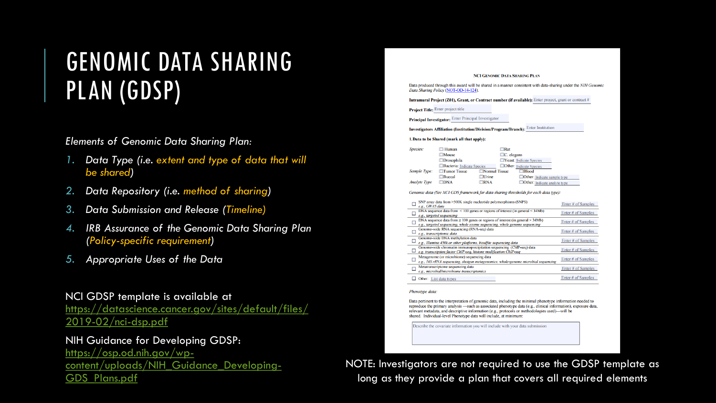### GENOMIC DATA SHARING PLAN (GDSP)

#### *Elements of Genomic Data Sharing Plan:*

- *1. Data Type (i.e. extent and type of data that will be shared)*
- *2. Data Repository (i.e. method of sharing)*
- *3. Data Submission and Release (Timeline)*
- *4. IRB Assurance of the Genomic Data Sharing Plan (Policy-specific requirement)*
- *5. Appropriate Uses of the Data*

#### NCI GDSP template is available at

[https://datascience.cancer.gov/sites/default/files/](https://datascience.cancer.gov/sites/default/files/2019-02/nci-dsp.pdf) 2019-02/nci-dsp.pdf

#### NIH Guidance for Developing GDSP:

https://osp.od.nih.gov/wp[content/uploads/NIH\\_Guidance\\_Developing-](https://osp.od.nih.gov/wp-content/uploads/NIH_Guidance_Developing-GDS_Plans.pdf)GDS\_Plans.pdf

#### **NCI GENOMIC DATA SHARING PLAN**

Data produced through this award will be shared in a manner consistent with data-sharing under the NIH Genomic Data Sharing Policy (NOT-OD-14-124).

Intramural Project (Z01), Grant, or Contract number (if available): Enter project, grant or contract #

Project Title: Enter project title

Principal Investigator: Enter Principal Investigator

Investigators Affiliation (Institution/Division/Program/Branch): Enter Institution

#### 1. Data to be Shared (mark all that apply):

| Species:            | $\Box$ Human               | $\Box$ Rat           |                                     |
|---------------------|----------------------------|----------------------|-------------------------------------|
|                     | $\square$ Mouse            | $\Box C$ . elegans   |                                     |
|                     | $\Box$ Drosophila          |                      | <b>TYeast:</b> Indicate Species     |
|                     | Bacteria: Indicate Species |                      | <b>Other:</b> Indicate Species      |
| Sample Type:        | $\Box$ Tumor Tissue        | $\Box$ Normal Tissue | $\Box$ Blood                        |
|                     | $\Box$ Buccal              | $\Box$ Urine         | $\Box$ Other: Indicate sample type  |
| <b>Analyte Type</b> | $\square$ DNA              | $\Box$ RNA           | $\Box$ Other: Indicate analyte type |

Genomic data (See NCI GDS framework for data sharing thresholds for each data type):

| SNP array data from >500K single nucleotide polymorphisms (SNPS)<br>e.g., GWAS data                                                                                 | Enter # of Samples |
|---------------------------------------------------------------------------------------------------------------------------------------------------------------------|--------------------|
| DNA sequence data from $\leq 100$ genes or regions of interest (in general $\leq 34Mb$ )<br>e.g., targeted sequencing                                               | Enter # of Samples |
| DNA sequence data from $\geq 100$ genes or regions of interest (in general $> 34Mb$ )<br>e.g., targeted sequencing, whole exome sequencing, whole genome sequencing | Enter # of Samples |
| Genome wide RNA sequencing (RNA seq) data<br>e.g., transcriptomic data                                                                                              | Enter # of Samples |
| Genome-wide DNA methylation data<br>e.g., Illumina 450k or other platforms, bisulfite sequencing data                                                               | Enter # of Samples |
| Genome-wide chromatin immunoprecipitation sequencing (ChIP-seq) data<br>e.g. transcription factor ChIP-seq, histone modification ChIP-seq                           | Enter # of Samples |
| Metagenome (or microbiome) sequencing data<br>e.g., 16S rRNA sequencing, shotgun metagenomics, whole-genome microbial sequencing                                    | Enter # of Samples |
| Metatranscriptome sequencing data<br>e.g., microbial/microbiome transcriptomics                                                                                     | Enter # of Samples |
| Other: List data types                                                                                                                                              | Enter # of Samples |

#### Phenotype data.

Data pertinent to the interpretation of genomic data, including the minimal phenotype information needed to reproduce the primary analysis —such as associated phenotype data (e.g., clinical information), exposure data, relevant metadata, and descriptive information (e.g., protocols or methodologies used)—will be shared. Individual-level Phenotype data will include, at minimum:

Describe the covariate information you will include with your data submission

NOTE: Investigators are not required to use the GDSP template as long as they provide a plan that covers all required elements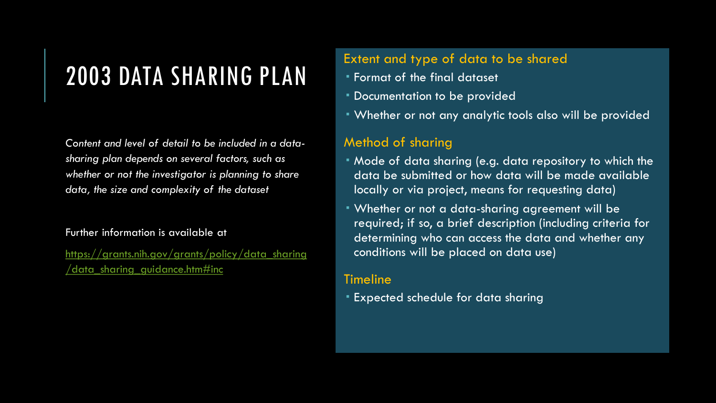### 2003 DATA SHARING PLAN

*Content and level of detail to be included in a datasharing plan depends on several factors, such as whether or not the investigator is planning to share data, the size and complexity of the dataset*

#### Further information is available at

[https://grants.nih.gov/grants/policy/data\\_sharing](https://grants.nih.gov/grants/policy/data_sharing/data_sharing_guidance.htm#inc) /data\_sharing\_guidance.htm#inc

#### Extent and type of data to be shared

- Format of the final dataset
- Documentation to be provided
- Whether or not any analytic tools also will be provided

### Method of sharing

- Mode of data sharing (e.g. data repository to which the data be submitted or how data will be made available locally or via project, means for requesting data)
- Whether or not a data-sharing agreement will be required; if so, a brief description (including criteria for determining who can access the data and whether any conditions will be placed on data use)

### Timeline

Expected schedule for data sharing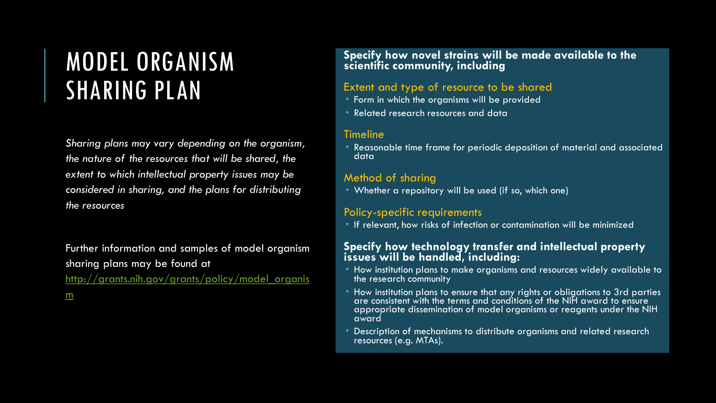### MODEL ORGANISM SHARING PLAN

*Sharing plans may vary depending on the organism, the nature of the resources that will be shared, the extent to which intellectual property issues may be considered in sharing, and the plans for distributing the resources*

Further information and samples of model organism sharing plans may be found at [http://grants.nih.gov/grants/policy/model\\_organis](http://grants.nih.gov/grants/policy/model_organism) m

**Specify how novel strains will be made available to the scientific community, including**

#### Extent and type of resource to be shared

- **Form in which the organisms will be provided**
- Related research resources and data

#### Timeline

 Reasonable time frame for periodic deposition of material and associated data

#### Method of sharing

Whether a repository will be used (if so, which one)

#### Policy-specific requirements

If relevant, how risks of infection or contamination will be minimized

#### **Specify how technology transfer and intellectual property issues will be handled, including:**

- How institution plans to make organisms and resources widely available to the research community
- How institution plans to ensure that any rights or obligations to 3rd parties are consistent with the terms and conditions of the NIH award to ensure appropriate dissemination of model organisms or reagents under the NIH award
- Description of mechanisms to distribute organisms and related research resources (e.g. MTAs).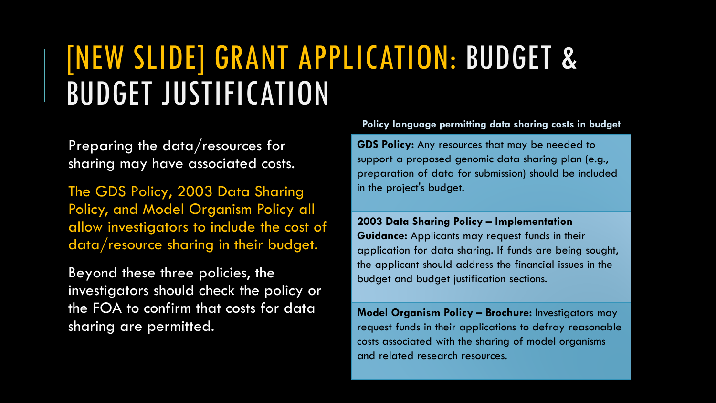### [NEW SLIDE] GRANT APPLICATION: BUDGET & BUDGET JUSTIFICATION

Preparing the data/resources for sharing may have associated costs.

The GDS Policy, 2003 Data Sharing Policy, and Model Organism Policy all allow investigators to include the cost of data/resource sharing in their budget.

Beyond these three policies, the investigators should check the policy or the FOA to confirm that costs for data sharing are permitted.

**Policy language permitting data sharing costs in budget**

**GDS Policy:** Any resources that may be needed to support a proposed genomic data sharing plan (e.g., preparation of data for submission) should be included in the project's budget.

**2003 Data Sharing Policy – Implementation Guidance:** Applicants may request funds in their application for data sharing. If funds are being sought, the applicant should address the financial issues in the budget and budget justification sections.

**Model Organism Policy – Brochure:** Investigators may request funds in their applications to defray reasonable costs associated with the sharing of model organisms and related research resources.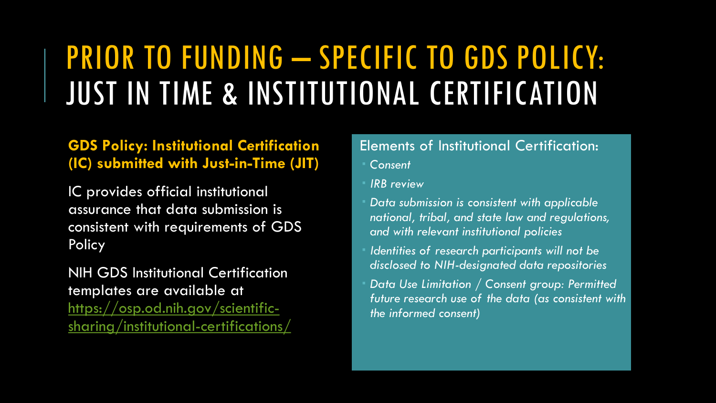### PRIOR TO FUNDING – SPECIFIC TO GDS POLICY: JUST IN TIME & INSTITUTIONAL CERTIFICATION

### **GDS Policy: Institutional Certification (IC) submitted with Just-in-Time (JIT)**

IC provides official institutional assurance that data submission is consistent with requirements of GDS Policy

NIH GDS Institutional Certification templates are available at https://osp.od.nih.gov/scientific[sharing/institutional-certifications/](https://osp.od.nih.gov/scientific-sharing/institutional-certifications/)

### Elements of Institutional Certification:

- *Consent*
- *IRB review*
- *Data submission is consistent with applicable national, tribal, and state law and regulations, and with relevant institutional policies*
- *Identities of research participants will not be disclosed to NIH-designated data repositories*
- *Data Use Limitation / Consent group: Permitted future research use of the data (as consistent with the informed consent)*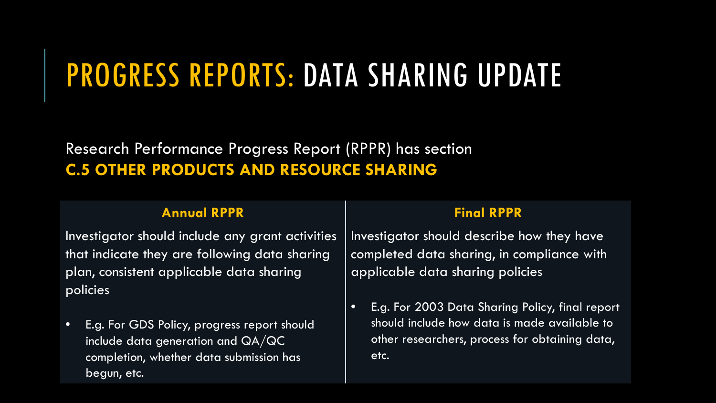### PROGRESS REPORTS: DATA SHARING UPDATE

### Research Performance Progress Report (RPPR) has section **C.5 OTHER PRODUCTS AND RESOURCE SHARING**

### **Annual RPPR Final RPPR**

Investigator should include any grant activities that indicate they are following data sharing plan, consistent applicable data sharing policies

• E.g. For GDS Policy, progress report should include data generation and QA/QC completion, whether data submission has begun, etc.

Investigator should describe how they have completed data sharing, in compliance with applicable data sharing policies

• E.g. For 2003 Data Sharing Policy, final report should include how data is made available to other researchers, process for obtaining data, etc.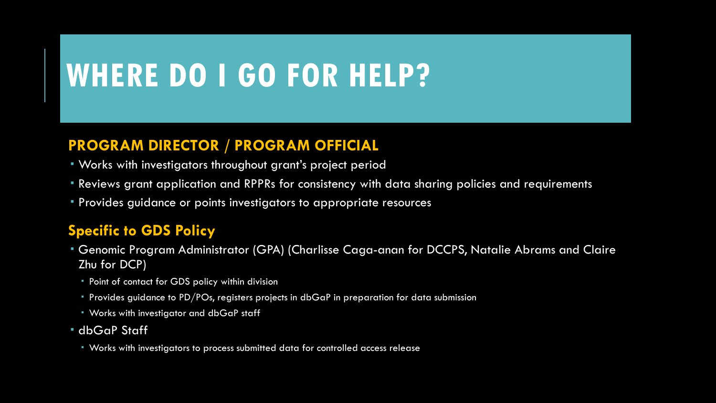### **WHERE DO I GO FOR HELP?**

### **PROGRAM DIRECTOR / PROGRAM OFFICIAL**

- Works with investigators throughout grant's project period
- Reviews grant application and RPPRs for consistency with data sharing policies and requirements
- Provides guidance or points investigators to appropriate resources

### **Specific to GDS Policy**

- Genomic Program Administrator (GPA) (Charlisse Caga-anan for DCCPS, Natalie Abrams and Claire Zhu for DCP)
	- Point of contact for GDS policy within division
	- Provides guidance to PD/POs, registers projects in dbGaP in preparation for data submission
	- **Works with investigator and dbGaP staff**
- dbGaP Staff
	- Works with investigators to process submitted data for controlled access release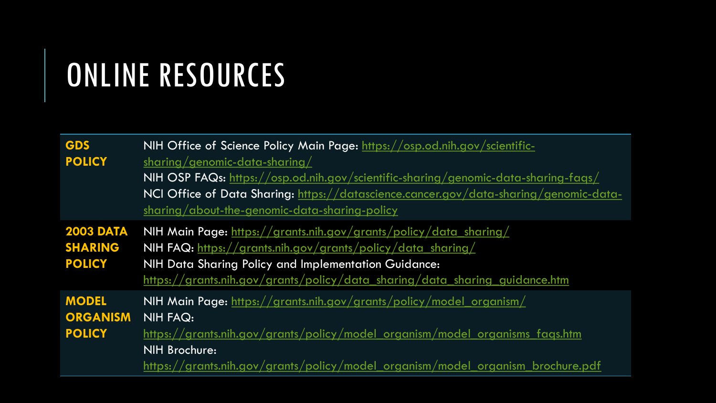## ONLINE RESOURCES

| <b>GDS</b><br><b>POLICY</b>                         | NIH Office of Science Policy Main Page: https://osp.od.nih.gov/scientific-<br>sharing/genomic-data-sharing/<br>NIH OSP FAQs: https://osp.od.nih.gov/scientific-sharing/genomic-data-sharing-faqs/<br>NCI Office of Data Sharing: https://datascience.cancer.gov/data-sharing/genomic-data-<br>sharing/about-the-genomic-data-sharing-policy |
|-----------------------------------------------------|---------------------------------------------------------------------------------------------------------------------------------------------------------------------------------------------------------------------------------------------------------------------------------------------------------------------------------------------|
| <b>2003 DATA</b><br><b>SHARING</b><br><b>POLICY</b> | NIH Main Page: https://grants.nih.gov/grants/policy/data_sharing/<br>NIH FAQ: https://grants.nih.gov/grants/policy/data_sharing/<br>NIH Data Sharing Policy and Implementation Guidance:<br>https://grants.nih.gov/grants/policy/data_sharing/data_sharing_guidance.htm                                                                     |
| <b>MODEL</b><br><b>ORGANISM</b><br><b>POLICY</b>    | NIH Main Page: https://grants.nih.gov/grants/policy/model_organism/<br><b>NIH FAQ:</b><br>https://grants.nih.gov/grants/policy/model organism/model organisms fags.htm<br>NIH Brochure:<br>https://grants.nih.gov/grants/policy/model organism/model organism brochure.pdf                                                                  |